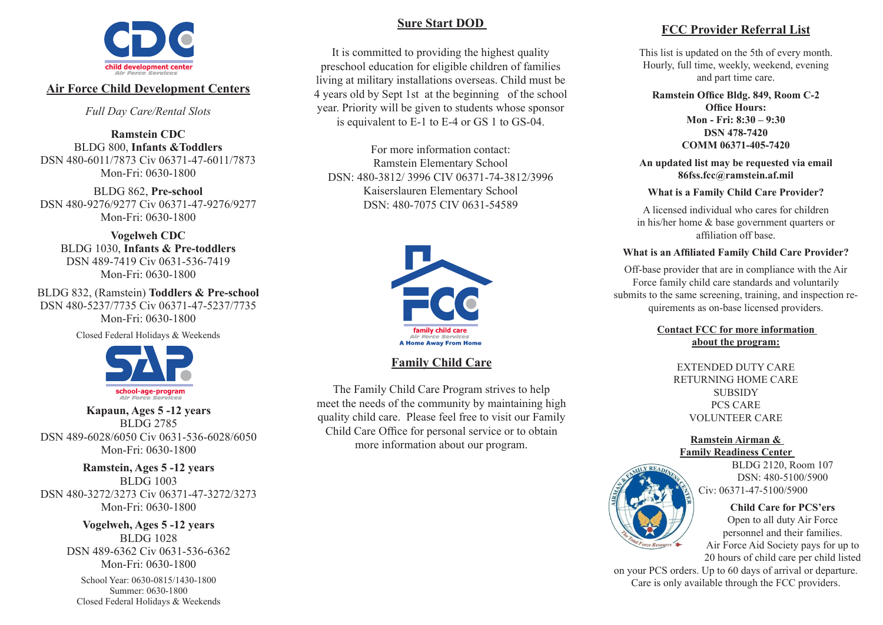

### **Air Force Child Development Centers**

*Full Day Care/Rental Slots*

**Ramstein CDC** BLDG 800, **Infants &Toddlers** DSN 480-6011/7873 Civ 06371-47-6011/7873 Mon-Fri: 0630-1800

BLDG 862, **Pre-school** DSN 480-9276/9277 Civ 06371-47-9276/9277 Mon-Fri: 0630-1800

**Vogelweh CDC** BLDG 1030, **Infants & Pre-toddlers** DSN 489-7419 Civ 0631-536-7419 Mon-Fri: 0630-1800

BLDG 832, (Ramstein) **Toddlers & Pre-school** DSN 480-5237/7735 Civ 06371-47-5237/7735 Mon-Fri: 0630-1800

Closed Federal Holidays & Weekends



**Kapaun, Ages 5 -12 years** BLDG 2785 DSN 489-6028/6050 Civ 0631-536-6028/6050 Mon-Fri: 0630-1800

#### **Ramstein, Ages 5 -12 years** BLDG 1003 DSN 480-3272/3273 Civ 06371-47-3272/3273 Mon-Fri: 0630-1800

**Vogelweh, Ages 5 -12 years** BLDG 1028 DSN 489-6362 Civ 0631-536-6362 Mon-Fri: 0630-1800

School Year: 0630-0815/1430-1800 Summer: 0630-1800 Closed Federal Holidays & Weekends

# **Sure Start DOD**

It is committed to providing the highest quality preschool education for eligible children of families living at military installations overseas. Child must be 4 years old by Sept 1st at the beginning of the school year. Priority will be given to students whose sponsor is equivalent to E-1 to E-4 or GS 1 to GS-04.

For more information contact: Ramstein Elementary School DSN: 480-3812/ 3996 CIV 06371-74-3812/3996 Kaiserslauren Elementary School DSN: 480-7075 CIV 0631-54589



**Family Child Care**

The Family Child Care Program strives to help meet the needs of the community by maintaining high quality child care. Please feel free to visit our Family Child Care Office for personal service or to obtain more information about our program.

# **FCC Provider Referral List**

This list is updated on the 5th of every month. Hourly, full time, weekly, weekend, evening and part time care.

**Ramstein Office Bldg. 849, Room C-2 Office Hours: Mon - Fri: 8:30 – 9:30 DSN 478-7420 COMM 06371-405-7420**

**An updated list may be requested via email 86fss.fcc@ramstein.af.mil**

**What is a Family Child Care Provider?**

A licensed individual who cares for children in his/her home & base government quarters or affiliation off base.

#### **What is an Affiliated Family Child Care Provider?**

Off-base provider that are in compliance with the Air Force family child care standards and voluntarily submits to the same screening, training, and inspection requirements as on-base licensed providers.

> **Contact FCC for more information about the program:**

> > EXTENDED DUTY CARE RETURNING HOME CARE **SUBSIDY** PCS CARE VOLUNTEER CARE

### **Ramstein Airman & Family Readiness Center**



BLDG 2120, Room 107 DSN: 480-5100/5900 Civ: 06371-47-5100/5900

#### **Child Care for PCS'ers**

Open to all duty Air Force personnel and their families. Air Force Aid Society pays for up to 20 hours of child care per child listed

on your PCS orders. Up to 60 days of arrival or departure. Care is only available through the FCC providers.